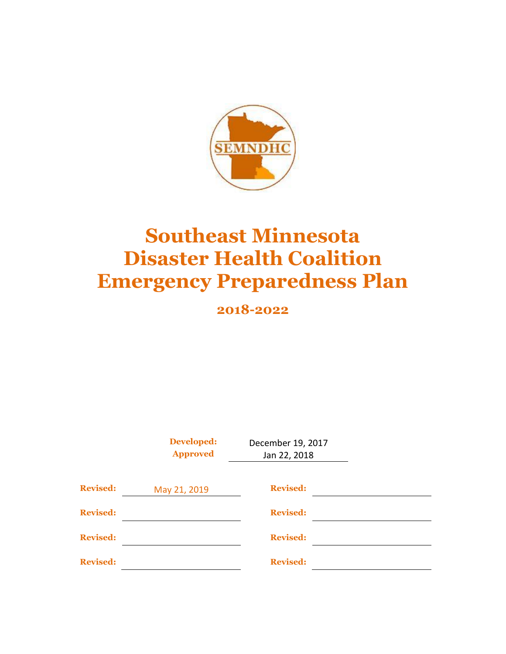

# **Southeast Minnesota Disaster Health Coalition Emergency Preparedness Plan**

**2018-2022**

|                 | <b>Developed:</b><br><b>Approved</b> | December 19, 2017<br>Jan 22, 2018 |  |
|-----------------|--------------------------------------|-----------------------------------|--|
| <b>Revised:</b> | May 21, 2019                         | <b>Revised:</b>                   |  |
| <b>Revised:</b> |                                      | <b>Revised:</b>                   |  |
| <b>Revised:</b> |                                      | <b>Revised:</b>                   |  |
| <b>Revised:</b> |                                      | <b>Revised:</b>                   |  |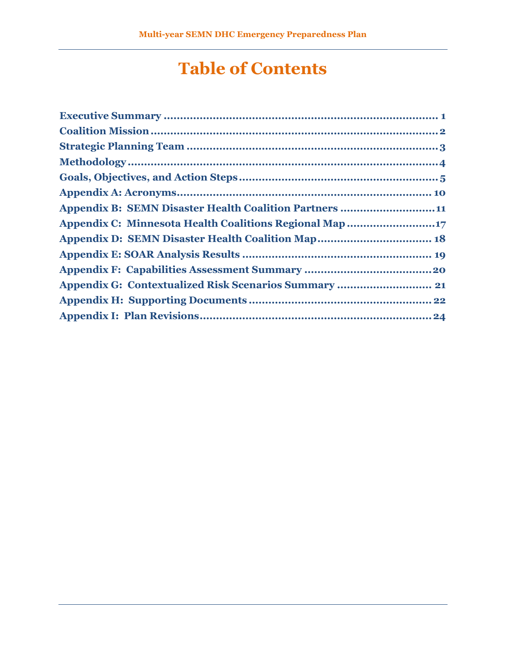# **Table of Contents**

| <b>Appendix B: SEMN Disaster Health Coalition Partners 11</b> |
|---------------------------------------------------------------|
| Appendix C: Minnesota Health Coalitions Regional Map 17       |
| <b>Appendix D: SEMN Disaster Health Coalition Map 18</b>      |
|                                                               |
|                                                               |
| <b>Appendix G: Contextualized Risk Scenarios Summary  21</b>  |
|                                                               |
|                                                               |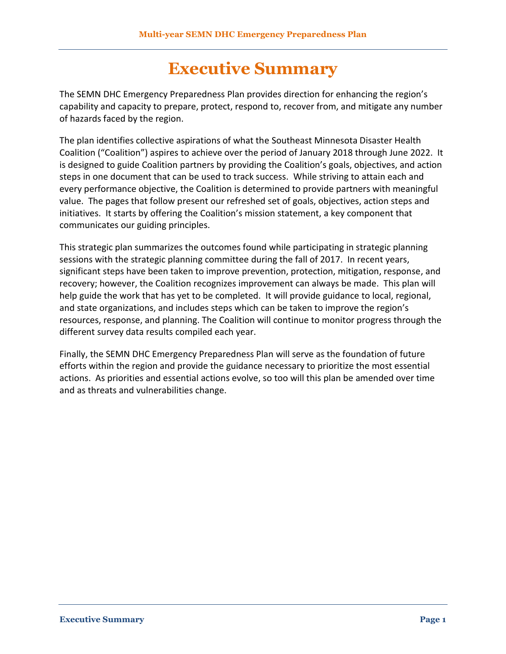## **Executive Summary**

<span id="page-2-0"></span>The SEMN DHC Emergency Preparedness Plan provides direction for enhancing the region's capability and capacity to prepare, protect, respond to, recover from, and mitigate any number of hazards faced by the region.

The plan identifies collective aspirations of what the Southeast Minnesota Disaster Health Coalition ("Coalition") aspires to achieve over the period of January 2018 through June 2022. It is designed to guide Coalition partners by providing the Coalition's goals, objectives, and action steps in one document that can be used to track success. While striving to attain each and every performance objective, the Coalition is determined to provide partners with meaningful value. The pages that follow present our refreshed set of goals, objectives, action steps and initiatives. It starts by offering the Coalition's mission statement, a key component that communicates our guiding principles.

This strategic plan summarizes the outcomes found while participating in strategic planning sessions with the strategic planning committee during the fall of 2017. In recent years, significant steps have been taken to improve prevention, protection, mitigation, response, and recovery; however, the Coalition recognizes improvement can always be made. This plan will help guide the work that has yet to be completed. It will provide guidance to local, regional, and state organizations, and includes steps which can be taken to improve the region's resources, response, and planning. The Coalition will continue to monitor progress through the different survey data results compiled each year.

Finally, the SEMN DHC Emergency Preparedness Plan will serve as the foundation of future efforts within the region and provide the guidance necessary to prioritize the most essential actions. As priorities and essential actions evolve, so too will this plan be amended over time and as threats and vulnerabilities change.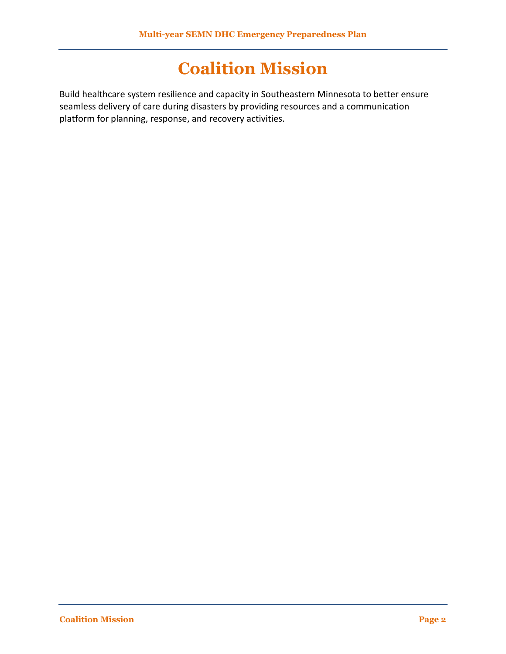## **Coalition Mission**

<span id="page-3-0"></span>Build healthcare system resilience and capacity in Southeastern Minnesota to better ensure seamless delivery of care during disasters by providing resources and a communication platform for planning, response, and recovery activities.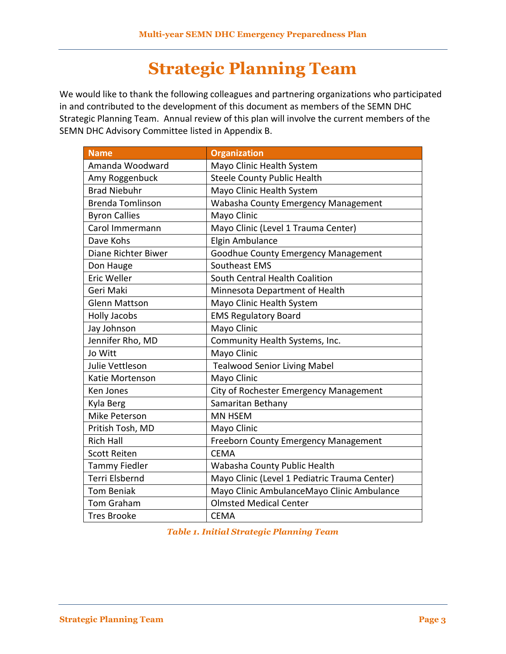# **Strategic Planning Team**

<span id="page-4-0"></span>We would like to thank the following colleagues and partnering organizations who participated in and contributed to the development of this document as members of the SEMN DHC Strategic Planning Team. Annual review of this plan will involve the current members of the SEMN DHC Advisory Committee listed in Appendix B.

| <b>Name</b>             | <b>Organization</b>                           |
|-------------------------|-----------------------------------------------|
| Amanda Woodward         | Mayo Clinic Health System                     |
| Amy Roggenbuck          | <b>Steele County Public Health</b>            |
| <b>Brad Niebuhr</b>     | Mayo Clinic Health System                     |
| <b>Brenda Tomlinson</b> | Wabasha County Emergency Management           |
| <b>Byron Callies</b>    | Mayo Clinic                                   |
| Carol Immermann         | Mayo Clinic (Level 1 Trauma Center)           |
| Dave Kohs               | Elgin Ambulance                               |
| Diane Richter Biwer     | Goodhue County Emergency Management           |
| Don Hauge               | Southeast EMS                                 |
| Eric Weller             | South Central Health Coalition                |
| Geri Maki               | Minnesota Department of Health                |
| <b>Glenn Mattson</b>    | Mayo Clinic Health System                     |
| <b>Holly Jacobs</b>     | <b>EMS Regulatory Board</b>                   |
| Jay Johnson             | Mayo Clinic                                   |
| Jennifer Rho, MD        | Community Health Systems, Inc.                |
| Jo Witt                 | Mayo Clinic                                   |
| Julie Vettleson         | <b>Tealwood Senior Living Mabel</b>           |
| Katie Mortenson         | Mayo Clinic                                   |
| Ken Jones               | City of Rochester Emergency Management        |
| Kyla Berg               | Samaritan Bethany                             |
| Mike Peterson           | <b>MN HSEM</b>                                |
| Pritish Tosh, MD        | Mayo Clinic                                   |
| <b>Rich Hall</b>        | <b>Freeborn County Emergency Management</b>   |
| <b>Scott Reiten</b>     | <b>CEMA</b>                                   |
| <b>Tammy Fiedler</b>    | Wabasha County Public Health                  |
| Terri Elsbernd          | Mayo Clinic (Level 1 Pediatric Trauma Center) |
| <b>Tom Beniak</b>       | Mayo Clinic AmbulanceMayo Clinic Ambulance    |
| Tom Graham              | <b>Olmsted Medical Center</b>                 |
| <b>Tres Brooke</b>      | <b>CEMA</b>                                   |

*Table 1. Initial Strategic Planning Team*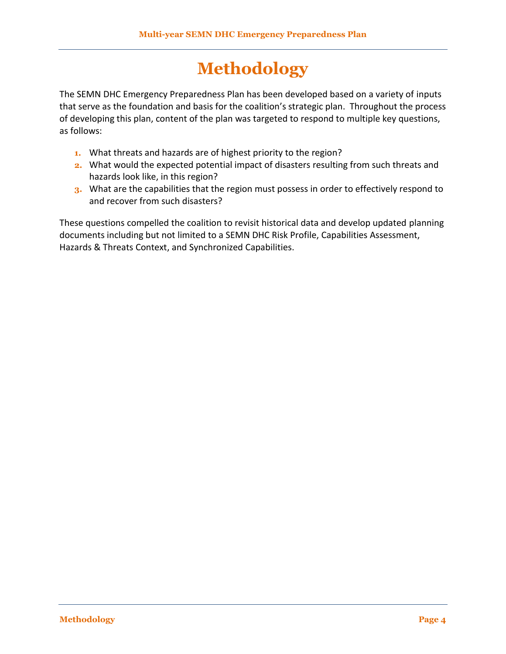# **Methodology**

<span id="page-5-0"></span>The SEMN DHC Emergency Preparedness Plan has been developed based on a variety of inputs that serve as the foundation and basis for the coalition's strategic plan. Throughout the process of developing this plan, content of the plan was targeted to respond to multiple key questions, as follows:

- **1.** What threats and hazards are of highest priority to the region?
- **2.** What would the expected potential impact of disasters resulting from such threats and hazards look like, in this region?
- **3.** What are the capabilities that the region must possess in order to effectively respond to and recover from such disasters?

These questions compelled the coalition to revisit historical data and develop updated planning documents including but not limited to a SEMN DHC Risk Profile, Capabilities Assessment, Hazards & Threats Context, and Synchronized Capabilities.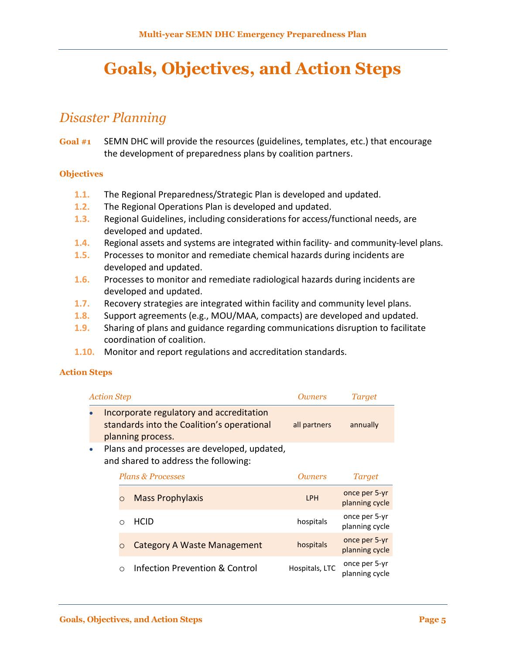## <span id="page-6-0"></span>**Goals, Objectives, and Action Steps**

### *Disaster Planning*

**Goal #1** SEMN DHC will provide the resources (guidelines, templates, etc.) that encourage the development of preparedness plans by coalition partners.

#### **Objectives**

- **1.1.** The Regional Preparedness/Strategic Plan is developed and updated.
- **1.2.** The Regional Operations Plan is developed and updated.
- **1.3.** Regional Guidelines, including considerations for access/functional needs, are developed and updated.
- **1.4.** Regional assets and systems are integrated within facility- and community-level plans.
- **1.5.** Processes to monitor and remediate chemical hazards during incidents are developed and updated.
- **1.6.** Processes to monitor and remediate radiological hazards during incidents are developed and updated.
- **1.7.** Recovery strategies are integrated within facility and community level plans.
- **1.8.** Support agreements (e.g., MOU/MAA, compacts) are developed and updated.
- **1.9.** Sharing of plans and guidance regarding communications disruption to facilitate coordination of coalition.
- **1.10.** Monitor and report regulations and accreditation standards.

#### **Action Steps**

| <b>Action Step</b> |                                                                                                             | <i>Owners</i> | Target   |
|--------------------|-------------------------------------------------------------------------------------------------------------|---------------|----------|
|                    | Incorporate regulatory and accreditation<br>standards into the Coalition's operational<br>planning process. | all partners  | annually |
|                    | Plans and processes are developed, updated,                                                                 |               |          |

and shared to address the following:

| <b>Plans &amp; Processes</b> |         |                                           | <i><b>Owners</b></i> | <b>Target</b>                   |  |
|------------------------------|---------|-------------------------------------------|----------------------|---------------------------------|--|
|                              | $\circ$ | <b>Mass Prophylaxis</b>                   | <b>LPH</b>           | once per 5-yr<br>planning cycle |  |
|                              |         | <b>HCID</b>                               | hospitals            | once per 5-yr<br>planning cycle |  |
|                              |         | <b>Category A Waste Management</b>        | hospitals            | once per 5-yr<br>planning cycle |  |
|                              |         | <b>Infection Prevention &amp; Control</b> | Hospitals, LTC       | once per 5-yr<br>planning cycle |  |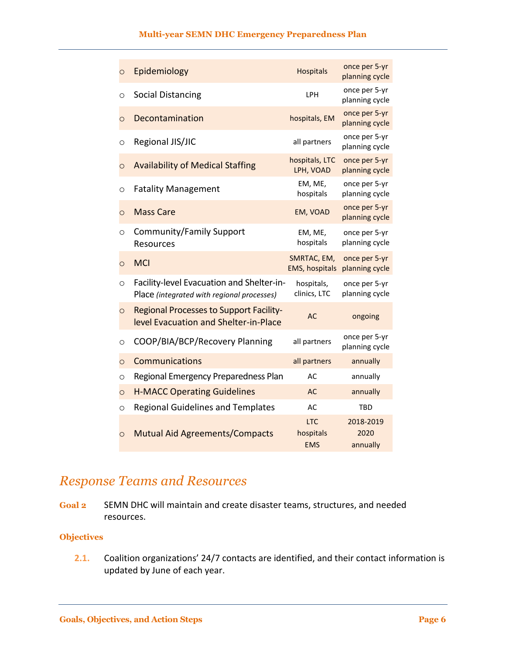#### **Multi-year SEMN DHC Emergency Preparedness Plan**

| $\circ$ | Epidemiology                                                                            | <b>Hospitals</b>                      | once per 5-yr<br>planning cycle |
|---------|-----------------------------------------------------------------------------------------|---------------------------------------|---------------------------------|
| $\circ$ | <b>Social Distancing</b>                                                                | LPH                                   | once per 5-yr<br>planning cycle |
| $\circ$ | Decontamination                                                                         | hospitals, EM                         | once per 5-yr<br>planning cycle |
| O       | Regional JIS/JIC                                                                        | all partners                          | once per 5-yr<br>planning cycle |
| $\circ$ | <b>Availability of Medical Staffing</b>                                                 | hospitals, LTC<br>LPH, VOAD           | once per 5-yr<br>planning cycle |
| $\circ$ | <b>Fatality Management</b>                                                              | EM, ME,<br>hospitals                  | once per 5-yr<br>planning cycle |
| $\circ$ | <b>Mass Care</b>                                                                        | EM, VOAD                              | once per 5-yr<br>planning cycle |
| $\circ$ | Community/Family Support<br><b>Resources</b>                                            | EM, ME,<br>hospitals                  | once per 5-yr<br>planning cycle |
| $\circ$ | <b>MCI</b>                                                                              | SMRTAC, EM,<br><b>EMS, hospitals</b>  | once per 5-yr<br>planning cycle |
| $\circ$ | Facility-level Evacuation and Shelter-in-<br>Place (integrated with regional processes) | hospitals,<br>clinics, LTC            | once per 5-yr<br>planning cycle |
| $\circ$ | <b>Regional Processes to Support Facility-</b><br>level Evacuation and Shelter-in-Place | AC                                    | ongoing                         |
| O       | COOP/BIA/BCP/Recovery Planning                                                          | all partners                          | once per 5-yr<br>planning cycle |
| $\circ$ | Communications                                                                          | all partners                          | annually                        |
| $\circ$ | Regional Emergency Preparedness Plan                                                    | AC                                    | annually                        |
| $\circ$ | <b>H-MACC Operating Guidelines</b>                                                      | <b>AC</b>                             | annually                        |
| $\circ$ | <b>Regional Guidelines and Templates</b>                                                | AC                                    | <b>TBD</b>                      |
| $\circ$ | <b>Mutual Aid Agreements/Compacts</b>                                                   | <b>LTC</b><br>hospitals<br><b>EMS</b> | 2018-2019<br>2020<br>annually   |

## *Response Teams and Resources*

**Goal 2** SEMN DHC will maintain and create disaster teams, structures, and needed resources.

### **Objectives**

**2.1.** Coalition organizations' 24/7 contacts are identified, and their contact information is updated by June of each year.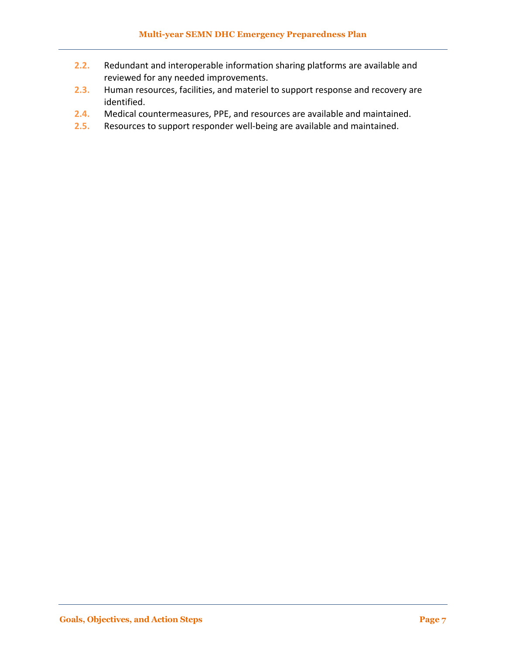- **2.2.** Redundant and interoperable information sharing platforms are available and reviewed for any needed improvements.
- **2.3.** Human resources, facilities, and materiel to support response and recovery are identified.
- **2.4.** Medical countermeasures, PPE, and resources are available and maintained.
- **2.5.** Resources to support responder well-being are available and maintained.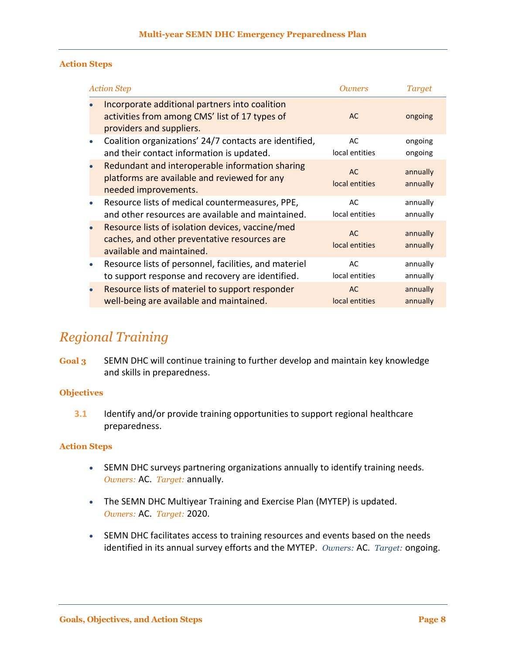#### **Action Steps**

| <b>Action Step</b>                                                                                                            | Oumers                      | <b>Target</b>        |
|-------------------------------------------------------------------------------------------------------------------------------|-----------------------------|----------------------|
| Incorporate additional partners into coalition<br>activities from among CMS' list of 17 types of<br>providers and suppliers.  | AC                          | ongoing              |
| Coalition organizations' 24/7 contacts are identified,<br>۰<br>and their contact information is updated.                      | AC<br>local entities        | ongoing<br>ongoing   |
| Redundant and interoperable information sharing<br>platforms are available and reviewed for any<br>needed improvements.       | <b>AC</b><br>local entities | annually<br>annually |
| Resource lists of medical countermeasures, PPE,<br>and other resources are available and maintained.                          | AC<br>local entities        | annually<br>annually |
| Resource lists of isolation devices, vaccine/med<br>caches, and other preventative resources are<br>available and maintained. | <b>AC</b><br>local entities | annually<br>annually |
| Resource lists of personnel, facilities, and materiel<br>$\bullet$<br>to support response and recovery are identified.        | AC<br>local entities        | annually<br>annually |
| Resource lists of materiel to support responder<br>well-being are available and maintained.                                   | <b>AC</b><br>local entities | annually<br>annually |

### *Regional Training*

**Goal 3** SEMN DHC will continue training to further develop and maintain key knowledge and skills in preparedness.

### **Objectives**

**3.1** Identify and/or provide training opportunities to support regional healthcare preparedness.

### **Action Steps**

- SEMN DHC surveys partnering organizations annually to identify training needs. *Owners:* AC. *Target:* annually.
- The SEMN DHC Multiyear Training and Exercise Plan (MYTEP) is updated. *Owners:* AC. *Target:* 2020.
- SEMN DHC facilitates access to training resources and events based on the needs identified in its annual survey efforts and the MYTEP. *Owners:* AC. *Target:* ongoing.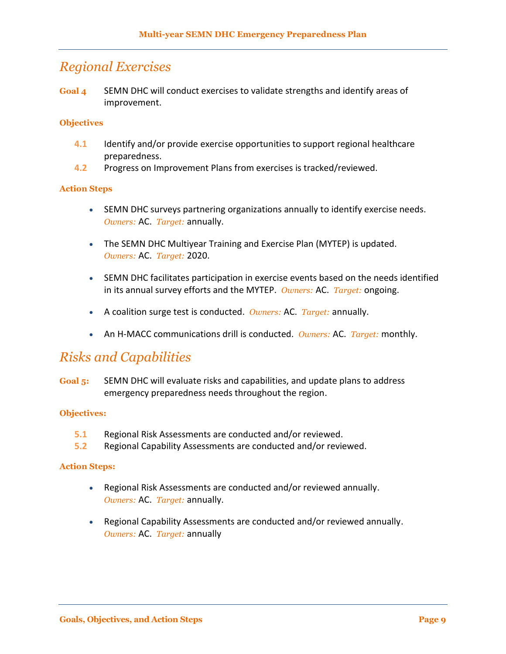### *Regional Exercises*

**Goal 4** SEMN DHC will conduct exercises to validate strengths and identify areas of improvement.

### **Objectives**

- **4.1** Identify and/or provide exercise opportunities to support regional healthcare preparedness.
- **4.2** Progress on Improvement Plans from exercises is tracked/reviewed.

#### **Action Steps**

- SEMN DHC surveys partnering organizations annually to identify exercise needs. *Owners:* AC. *Target:* annually.
- The SEMN DHC Multiyear Training and Exercise Plan (MYTEP) is updated. *Owners:* AC. *Target:* 2020.
- SEMN DHC facilitates participation in exercise events based on the needs identified in its annual survey efforts and the MYTEP. *Owners:* AC. *Target:* ongoing.
- A coalition surge test is conducted. *Owners:* AC. *Target:* annually.
- An H-MACC communications drill is conducted. *Owners:* AC. *Target:* monthly.

### *Risks and Capabilities*

**Goal 5:** SEMN DHC will evaluate risks and capabilities, and update plans to address emergency preparedness needs throughout the region.

#### **Objectives:**

- **5.1** Regional Risk Assessments are conducted and/or reviewed.
- **5.2** Regional Capability Assessments are conducted and/or reviewed.

#### **Action Steps:**

- Regional Risk Assessments are conducted and/or reviewed annually. *Owners:* AC. *Target:* annually.
- Regional Capability Assessments are conducted and/or reviewed annually. *Owners:* AC. *Target:* annually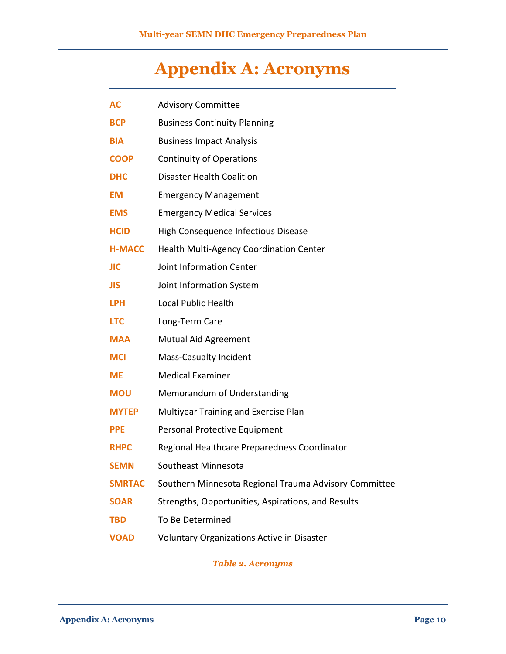# **Appendix A: Acronyms**

<span id="page-11-0"></span>

| AC            | <b>Advisory Committee</b>                             |
|---------------|-------------------------------------------------------|
| <b>BCP</b>    | <b>Business Continuity Planning</b>                   |
| <b>BIA</b>    | <b>Business Impact Analysis</b>                       |
| <b>COOP</b>   | <b>Continuity of Operations</b>                       |
| <b>DHC</b>    | <b>Disaster Health Coalition</b>                      |
| EM            | <b>Emergency Management</b>                           |
| <b>EMS</b>    | <b>Emergency Medical Services</b>                     |
| <b>HCID</b>   | High Consequence Infectious Disease                   |
| <b>H-MACC</b> | Health Multi-Agency Coordination Center               |
| JIC           | Joint Information Center                              |
| JIS           | Joint Information System                              |
| <b>LPH</b>    | Local Public Health                                   |
| <b>LTC</b>    | Long-Term Care                                        |
| <b>MAA</b>    | <b>Mutual Aid Agreement</b>                           |
| <b>MCI</b>    | <b>Mass-Casualty Incident</b>                         |
| ME            | <b>Medical Examiner</b>                               |
| <b>MOU</b>    | Memorandum of Understanding                           |
| <b>MYTEP</b>  | Multiyear Training and Exercise Plan                  |
| <b>PPE</b>    | Personal Protective Equipment                         |
| <b>RHPC</b>   | Regional Healthcare Preparedness Coordinator          |
| <b>SEMN</b>   | Southeast Minnesota                                   |
| <b>SMRTAC</b> | Southern Minnesota Regional Trauma Advisory Committee |
| <b>SOAR</b>   | Strengths, Opportunities, Aspirations, and Results    |
| <b>TBD</b>    | To Be Determined                                      |
| <b>VOAD</b>   | <b>Voluntary Organizations Active in Disaster</b>     |
|               |                                                       |

*Table 2. Acronyms*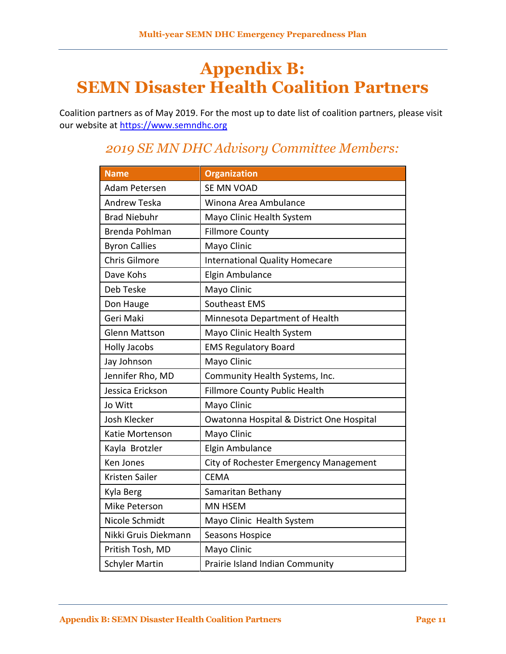## <span id="page-12-0"></span>**Appendix B: SEMN Disaster Health Coalition Partners**

Coalition partners as of May 2019. For the most up to date list of coalition partners, please visit our website at [https://www.semndhc.org](https://www.semndhc.org/)

| <b>Name</b>           | <b>Organization</b>                       |
|-----------------------|-------------------------------------------|
| <b>Adam Petersen</b>  | SE MN VOAD                                |
| <b>Andrew Teska</b>   | Winona Area Ambulance                     |
| <b>Brad Niebuhr</b>   | Mayo Clinic Health System                 |
| Brenda Pohlman        | <b>Fillmore County</b>                    |
| <b>Byron Callies</b>  | Mayo Clinic                               |
| <b>Chris Gilmore</b>  | <b>International Quality Homecare</b>     |
| Dave Kohs             | Elgin Ambulance                           |
| Deb Teske             | Mayo Clinic                               |
| Don Hauge             | Southeast EMS                             |
| Geri Maki             | Minnesota Department of Health            |
| <b>Glenn Mattson</b>  | Mayo Clinic Health System                 |
| <b>Holly Jacobs</b>   | <b>EMS Regulatory Board</b>               |
| Jay Johnson           | Mayo Clinic                               |
| Jennifer Rho, MD      | Community Health Systems, Inc.            |
| Jessica Erickson      | <b>Fillmore County Public Health</b>      |
| Jo Witt               | Mayo Clinic                               |
| <b>Josh Klecker</b>   | Owatonna Hospital & District One Hospital |
| Katie Mortenson       | Mayo Clinic                               |
| Kayla Brotzler        | Elgin Ambulance                           |
| Ken Jones             | City of Rochester Emergency Management    |
| Kristen Sailer        | <b>CEMA</b>                               |
| Kyla Berg             | Samaritan Bethany                         |
| Mike Peterson         | <b>MN HSEM</b>                            |
| Nicole Schmidt        | Mayo Clinic Health System                 |
| Nikki Gruis Diekmann  | Seasons Hospice                           |
| Pritish Tosh, MD      | Mayo Clinic                               |
| <b>Schyler Martin</b> | Prairie Island Indian Community           |

## *2019 SE MN DHC Advisory Committee Members:*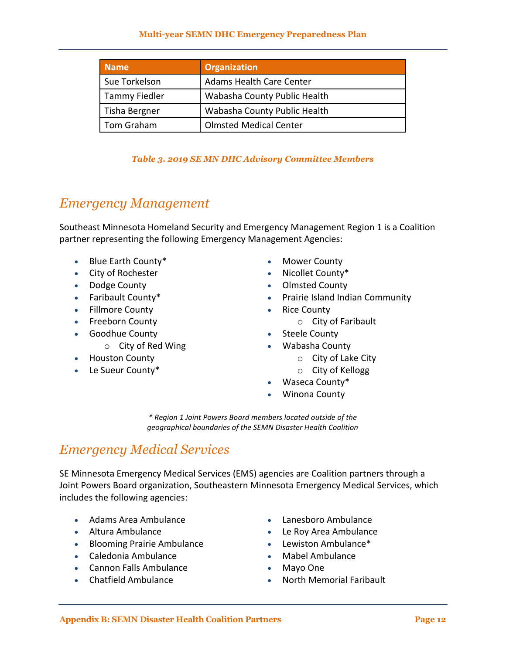| <b>Name</b>          | <b>Organization</b>             |
|----------------------|---------------------------------|
| Sue Torkelson        | <b>Adams Health Care Center</b> |
| <b>Tammy Fiedler</b> | Wabasha County Public Health    |
| Tisha Bergner        | Wabasha County Public Health    |
| Tom Graham           | <b>Olmsted Medical Center</b>   |

### *Table 3. 2019 SE MN DHC Advisory Committee Members*

### *Emergency Management*

Southeast Minnesota Homeland Security and Emergency Management Region 1 is a Coalition partner representing the following Emergency Management Agencies:

- Blue Earth County\*
- City of Rochester
- Dodge County
- Faribault County\*
- Fillmore County
- Freeborn County
- Goodhue County
	- o City of Red Wing
- Houston County
- Le Sueur County\*
- Mower County
- Nicollet County\*
- Olmsted County
- Prairie Island Indian Community
- Rice County
	- o City of Faribault
- Steele County
- Wabasha County
	- o City of Lake City
	- o City of Kellogg
- Waseca County\*
- Winona County

*\* Region 1 Joint Powers Board members located outside of the geographical boundaries of the SEMN Disaster Health Coalition*

### *Emergency Medical Services*

SE Minnesota Emergency Medical Services (EMS) agencies are Coalition partners through a Joint Powers Board organization, Southeastern Minnesota Emergency Medical Services, which includes the following agencies:

- Adams Area Ambulance Lanesboro Ambulance
- 
- Blooming Prairie Ambulance **Constanting Constanting Prairie Ambulance** \*
- Caledonia Ambulance Mabel Ambulance
- Cannon Falls Ambulance Mayo One
- 
- 
- Altura Ambulance Le Roy Area Ambulance
	-
	-
	-
- Chatfield Ambulance **No. 1998 1998 12 Chatfield Ambulance No. 1998 12 Chatter No. 1999 12 Chatter 12 Chatter 12 Chatter 20 Chatter 12 Chatter 12 Chatter 20 Chatter 20 Chatter 20 Chatter 20 Chatter 20**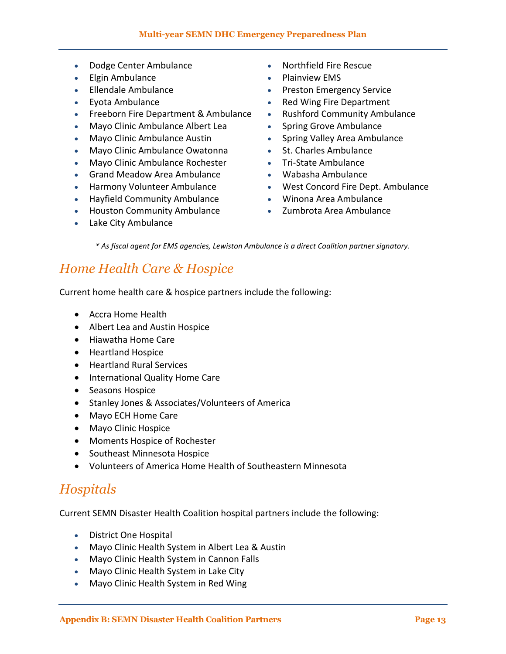- Dodge Center Ambulance **Canadian Control** Northfield Fire Rescue
- Elgin Ambulance **Calculary Contract Contract Contract Contract Contract Contract Contract Contract Contract Contract Contract Contract Contract Contract Contract Contract Contract Contract Contract Contract Contract Cont**
- 
- 
- Freeborn Fire Department & Ambulance Rushford Community Ambulance
- Mayo Clinic Ambulance Albert Lea **Samua Clinic Ambulance** Clinic Ambulance
- Mayo Clinic Ambulance Austin **Subset Conventse Convention** Spring Valley Area Ambulance
- Mayo Clinic Ambulance Owatonna St. Charles Ambulance
- Mayo Clinic Ambulance Rochester Tri-State Ambulance
- Grand Meadow Area Ambulance Wabasha Ambulance
- 
- Hayfield Community Ambulance Winona Area Ambulance
- Houston Community Ambulance 2umbrota Area Ambulance
- Lake City Ambulance
- 
- 
- Ellendale Ambulance Preston Emergency Service
	- Eyota Ambulance **Red Wing Fire Department** 
		-
		-
		-
		-
		-
		-
- Harmony Volunteer Ambulance  West Concord Fire Dept. Ambulance
	-
	-

*\* As fiscal agent for EMS agencies, Lewiston Ambulance is a direct Coalition partner signatory.*

## *Home Health Care & Hospice*

Current home health care & hospice partners include the following:

- Accra Home Health
- Albert Lea and Austin Hospice
- Hiawatha Home Care
- Heartland Hospice
- Heartland Rural Services
- International Quality Home Care
- Seasons Hospice
- Stanley Jones & Associates/Volunteers of America
- Mayo ECH Home Care
- Mayo Clinic Hospice
- Moments Hospice of Rochester
- Southeast Minnesota Hospice
- Volunteers of America Home Health of Southeastern Minnesota

### *Hospitals*

Current SEMN Disaster Health Coalition hospital partners include the following:

- District One Hospital
- Mayo Clinic Health System in Albert Lea & Austin
- Mayo Clinic Health System in Cannon Falls
- Mayo Clinic Health System in Lake City
- Mayo Clinic Health System in Red Wing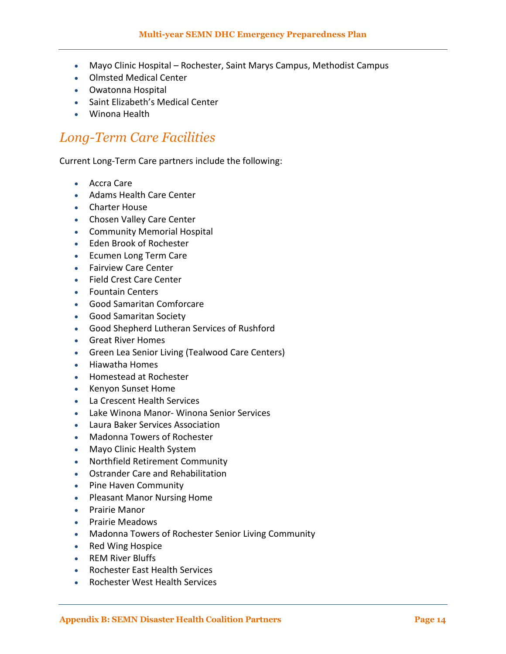- Mayo Clinic Hospital Rochester, Saint Marys Campus, Methodist Campus
- Olmsted Medical Center
- Owatonna Hospital
- Saint Elizabeth's Medical Center
- Winona Health

## *Long-Term Care Facilities*

Current Long-Term Care partners include the following:

- Accra Care
- Adams Health Care Center
- Charter House
- Chosen Valley Care Center
- Community Memorial Hospital
- Eden Brook of Rochester
- Ecumen Long Term Care
- **•** Fairview Care Center
- Field Crest Care Center
- Fountain Centers
- Good Samaritan Comforcare
- Good Samaritan Society
- Good Shepherd Lutheran Services of Rushford
- Great River Homes
- Green Lea Senior Living (Tealwood Care Centers)
- Hiawatha Homes
- Homestead at Rochester
- Kenyon Sunset Home
- La Crescent Health Services
- Lake Winona Manor- Winona Senior Services
- Laura Baker Services Association
- Madonna Towers of Rochester
- Mayo Clinic Health System
- Northfield Retirement Community
- Ostrander Care and Rehabilitation
- Pine Haven Community
- Pleasant Manor Nursing Home
- Prairie Manor
- Prairie Meadows
- Madonna Towers of Rochester Senior Living Community
- Red Wing Hospice
- REM River Bluffs
- Rochester East Health Services
- Rochester West Health Services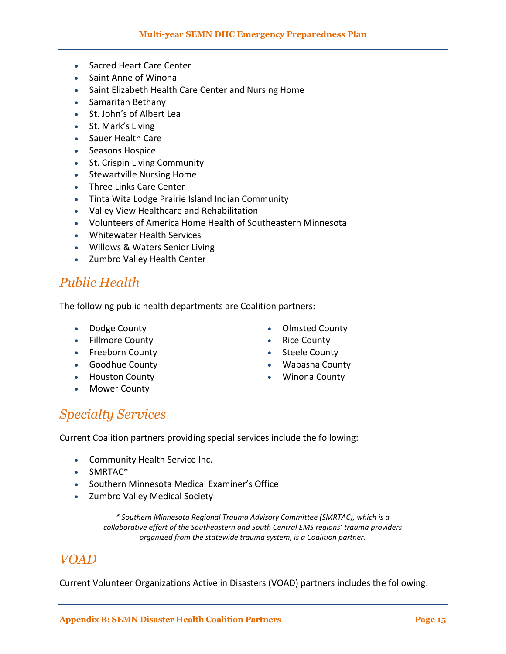- Sacred Heart Care Center
- Saint Anne of Winona
- Saint Elizabeth Health Care Center and Nursing Home
- Samaritan Bethany
- St. John's of Albert Lea
- St. Mark's Living
- Sauer Health Care
- Seasons Hospice
- St. Crispin Living Community
- Stewartville Nursing Home
- Three Links Care Center
- Tinta Wita Lodge Prairie Island Indian Community
- Valley View Healthcare and Rehabilitation
- Volunteers of America Home Health of Southeastern Minnesota
- Whitewater Health Services
- Willows & Waters Senior Living
- Zumbro Valley Health Center

### *Public Health*

The following public health departments are Coalition partners:

- Dodge County
- Fillmore County
- Freeborn County
- Goodhue County
- **•** Houston County
- Mower County
- Olmsted County
- Rice County
- Steele County
- Wabasha County
- Winona County

### *Specialty Services*

Current Coalition partners providing special services include the following:

- Community Health Service Inc.
- SMRTAC<sup>\*</sup>
- Southern Minnesota Medical Examiner's Office
- Zumbro Valley Medical Society

*\* Southern Minnesota Regional Trauma Advisory Committee (SMRTAC), which is a collaborative effort of the Southeastern and South Central EMS regions' trauma providers organized from the statewide trauma system, is a Coalition partner.*

### *VOAD*

Current Volunteer Organizations Active in Disasters (VOAD) partners includes the following: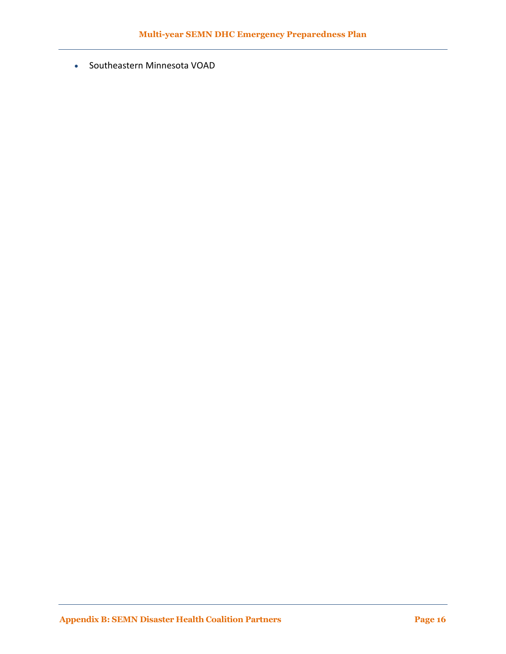Southeastern Minnesota VOAD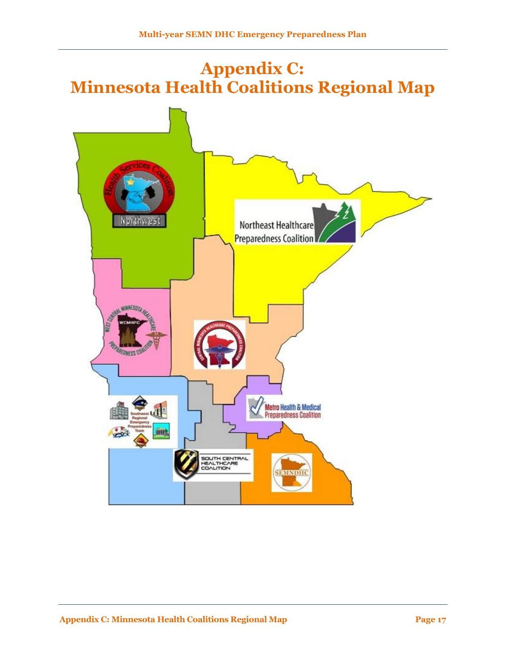# <span id="page-18-0"></span>**Appendix C: Minnesota Health Coalitions Regional Map**

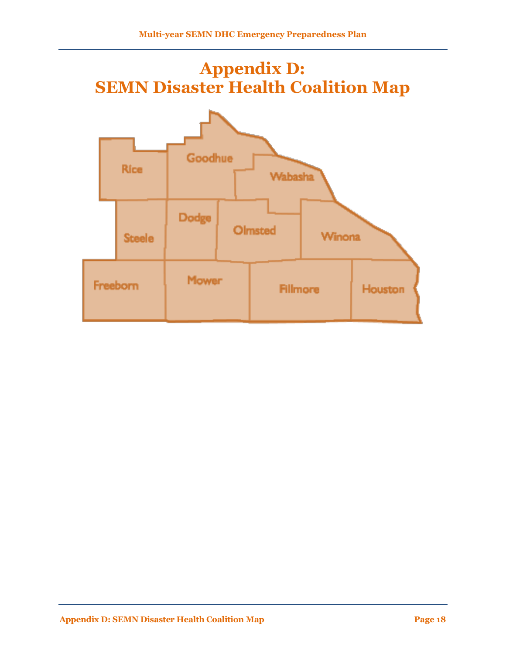# <span id="page-19-0"></span>**Appendix D: SEMN Disaster Health Coalition Map**

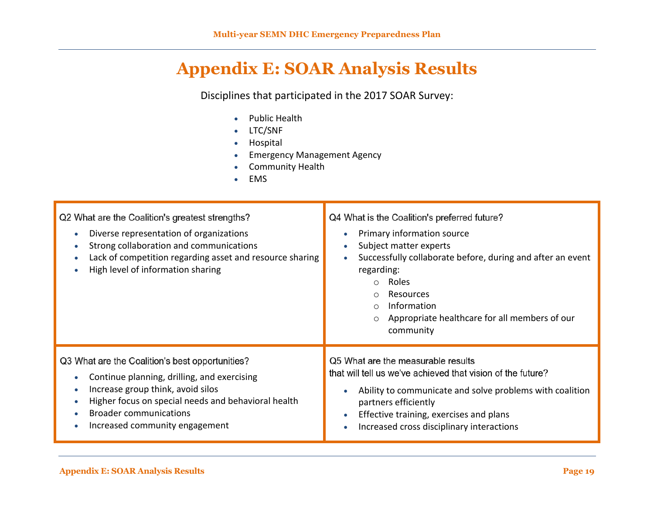## **Appendix E: SOAR Analysis Results**

Disciplines that participated in the 2017 SOAR Survey:

- Public Health
- LTC/SNF
- **•** Hospital
- Emergency Management Agency
- Community Health
- EMS

<span id="page-20-0"></span>

| Q2 What are the Coalition's greatest strengths?<br>Diverse representation of organizations<br>Strong collaboration and communications<br>Lack of competition regarding asset and resource sharing<br>High level of information sharing | Q4 What is the Coalition's preferred future?<br>Primary information source<br>Subject matter experts<br>Successfully collaborate before, during and after an event<br>regarding:<br>Roles<br>$\bigcap$<br>Resources<br>$\circ$<br>Information<br>$\circ$<br>Appropriate healthcare for all members of our<br>$\circ$<br>community |  |  |
|----------------------------------------------------------------------------------------------------------------------------------------------------------------------------------------------------------------------------------------|-----------------------------------------------------------------------------------------------------------------------------------------------------------------------------------------------------------------------------------------------------------------------------------------------------------------------------------|--|--|
| Q3 What are the Coalition's best opportunities?                                                                                                                                                                                        | Q5 What are the measurable results                                                                                                                                                                                                                                                                                                |  |  |
| Continue planning, drilling, and exercising                                                                                                                                                                                            | that will tell us we've achieved that vision of the future?                                                                                                                                                                                                                                                                       |  |  |
| Increase group think, avoid silos                                                                                                                                                                                                      | Ability to communicate and solve problems with coalition                                                                                                                                                                                                                                                                          |  |  |
| Higher focus on special needs and behavioral health                                                                                                                                                                                    | partners efficiently                                                                                                                                                                                                                                                                                                              |  |  |
| <b>Broader communications</b>                                                                                                                                                                                                          | Effective training, exercises and plans                                                                                                                                                                                                                                                                                           |  |  |
| Increased community engagement                                                                                                                                                                                                         | Increased cross disciplinary interactions                                                                                                                                                                                                                                                                                         |  |  |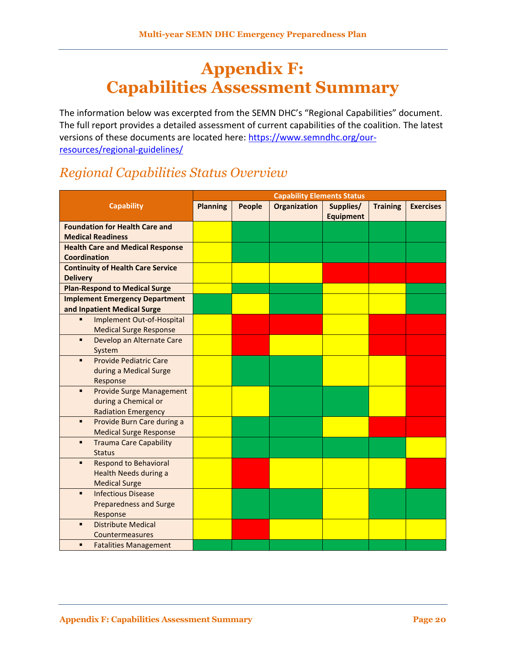## <span id="page-21-0"></span>**Appendix F: Capabilities Assessment Summary**

The information below was excerpted from the SEMN DHC's "Regional Capabilities" document. The full report provides a detailed assessment of current capabilities of the coalition. The latest versions of these documents are located here: [https://www.semndhc.org/our](https://www.semndhc.org/our-resources/regional-guidelines/)[resources/regional-guidelines/](https://www.semndhc.org/our-resources/regional-guidelines/)

## *Regional Capabilities Status Overview*

|                                                 | <b>Capability Elements Status</b> |        |                     |                  |                 |                  |
|-------------------------------------------------|-----------------------------------|--------|---------------------|------------------|-----------------|------------------|
| <b>Capability</b>                               | <b>Planning</b>                   | People | <b>Organization</b> | Supplies/        | <b>Training</b> | <b>Exercises</b> |
|                                                 |                                   |        |                     | <b>Equipment</b> |                 |                  |
| <b>Foundation for Health Care and</b>           |                                   |        |                     |                  |                 |                  |
| <b>Medical Readiness</b>                        |                                   |        |                     |                  |                 |                  |
| <b>Health Care and Medical Response</b>         |                                   |        |                     |                  |                 |                  |
| <b>Coordination</b>                             |                                   |        |                     |                  |                 |                  |
| <b>Continuity of Health Care Service</b>        |                                   |        |                     |                  |                 |                  |
| <b>Delivery</b>                                 |                                   |        |                     |                  |                 |                  |
| <b>Plan-Respond to Medical Surge</b>            |                                   |        |                     |                  |                 |                  |
| <b>Implement Emergency Department</b>           |                                   |        |                     |                  |                 |                  |
| and Inpatient Medical Surge                     |                                   |        |                     |                  |                 |                  |
| Implement Out-of-Hospital<br>Ξ                  |                                   |        |                     |                  |                 |                  |
| <b>Medical Surge Response</b>                   |                                   |        |                     |                  |                 |                  |
| Develop an Alternate Care<br>٠                  |                                   |        |                     |                  |                 |                  |
| System                                          |                                   |        |                     |                  |                 |                  |
| <b>Provide Pediatric Care</b><br>$\blacksquare$ |                                   |        |                     |                  |                 |                  |
| during a Medical Surge                          |                                   |        |                     |                  |                 |                  |
| Response                                        |                                   |        |                     |                  |                 |                  |
| <b>Provide Surge Management</b><br>٠            |                                   |        |                     |                  |                 |                  |
| during a Chemical or                            |                                   |        |                     |                  |                 |                  |
| <b>Radiation Emergency</b>                      |                                   |        |                     |                  |                 |                  |
| Provide Burn Care during a<br>٠                 |                                   |        |                     |                  |                 |                  |
| <b>Medical Surge Response</b>                   |                                   |        |                     |                  |                 |                  |
| <b>Trauma Care Capability</b><br>٠              |                                   |        |                     |                  |                 |                  |
| <b>Status</b>                                   |                                   |        |                     |                  |                 |                  |
| <b>Respond to Behavioral</b><br>٠               |                                   |        |                     |                  |                 |                  |
| Health Needs during a                           |                                   |        |                     |                  |                 |                  |
| <b>Medical Surge</b>                            |                                   |        |                     |                  |                 |                  |
| <b>Infectious Disease</b><br>Ξ                  |                                   |        |                     |                  |                 |                  |
| <b>Preparedness and Surge</b>                   |                                   |        |                     |                  |                 |                  |
| Response                                        |                                   |        |                     |                  |                 |                  |
| <b>Distribute Medical</b><br>п                  |                                   |        |                     |                  |                 |                  |
| Countermeasures                                 |                                   |        |                     |                  |                 |                  |
| ٠<br><b>Fatalities Management</b>               |                                   |        |                     |                  |                 |                  |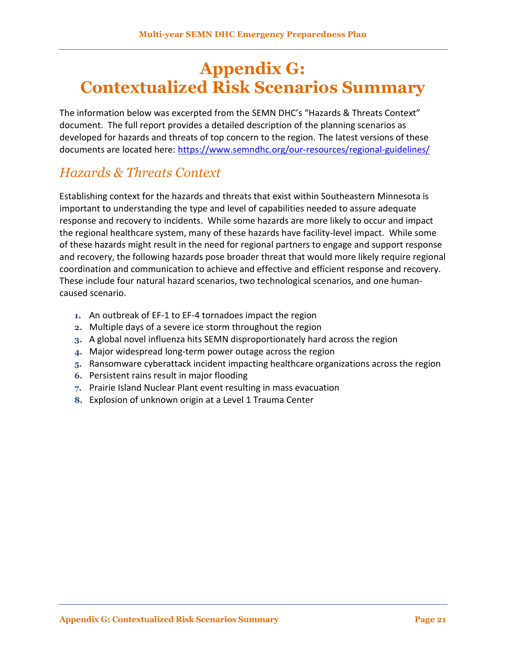## <span id="page-22-0"></span>**Appendix G: Contextualized Risk Scenarios Summary**

The information below was excerpted from the SEMN DHC's "Hazards & Threats Context" document. The full report provides a detailed description of the planning scenarios as developed for hazards and threats of top concern to the region. The latest versions of these documents are located here:<https://www.semndhc.org/our-resources/regional-guidelines/>

## *Hazards & Threats Context*

Establishing context for the hazards and threats that exist within Southeastern Minnesota is important to understanding the type and level of capabilities needed to assure adequate response and recovery to incidents. While some hazards are more likely to occur and impact the regional healthcare system, many of these hazards have facility-level impact. While some of these hazards might result in the need for regional partners to engage and support response and recovery, the following hazards pose broader threat that would more likely require regional coordination and communication to achieve and effective and efficient response and recovery. These include four natural hazard scenarios, two technological scenarios, and one humancaused scenario.

- **1.** An outbreak of EF-1 to EF-4 tornadoes impact the region
- **2.** Multiple days of a severe ice storm throughout the region
- **3.** A global novel influenza hits SEMN disproportionately hard across the region
- **4.** Major widespread long-term power outage across the region
- **5.** Ransomware cyberattack incident impacting healthcare organizations across the region
- **6.** Persistent rains result in major flooding
- **7.** Prairie Island Nuclear Plant event resulting in mass evacuation
- **8.** Explosion of unknown origin at a Level 1 Trauma Center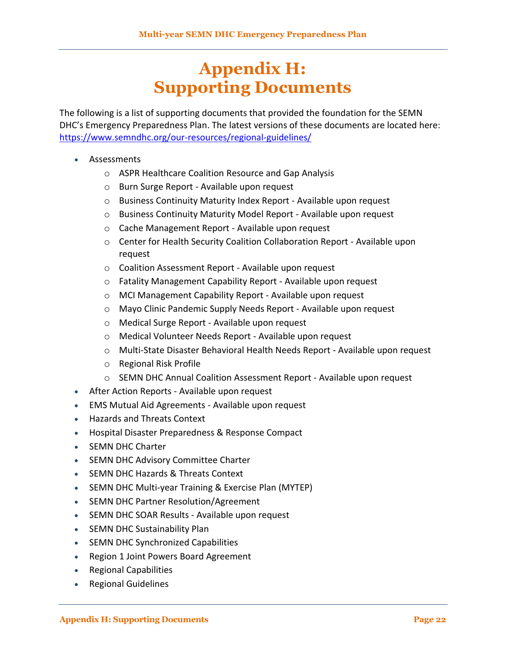## **Appendix H: Supporting Documents**

<span id="page-23-0"></span>The following is a list of supporting documents that provided the foundation for the SEMN DHC's Emergency Preparedness Plan. The latest versions of these documents are located here: <https://www.semndhc.org/our-resources/regional-guidelines/>

- Assessments
	- o ASPR Healthcare Coalition Resource and Gap Analysis
	- o Burn Surge Report Available upon request
	- o Business Continuity Maturity Index Report Available upon request
	- o Business Continuity Maturity Model Report Available upon request
	- o Cache Management Report Available upon request
	- o Center for Health Security Coalition Collaboration Report Available upon request
	- o Coalition Assessment Report Available upon request
	- o Fatality Management Capability Report Available upon request
	- o MCI Management Capability Report Available upon request
	- o Mayo Clinic Pandemic Supply Needs Report Available upon request
	- o Medical Surge Report Available upon request
	- o Medical Volunteer Needs Report Available upon request
	- o Multi-State Disaster Behavioral Health Needs Report Available upon request
	- o Regional Risk Profile
	- o SEMN DHC Annual Coalition Assessment Report Available upon request
- After Action Reports Available upon request
- EMS Mutual Aid Agreements Available upon request
- Hazards and Threats Context
- Hospital Disaster Preparedness & Response Compact
- SEMN DHC Charter
- SEMN DHC Advisory Committee Charter
- SEMN DHC Hazards & Threats Context
- SEMN DHC Multi-year Training & Exercise Plan (MYTEP)
- SEMN DHC Partner Resolution/Agreement
- SEMN DHC SOAR Results Available upon request
- SEMN DHC Sustainability Plan
- SEMN DHC Synchronized Capabilities
- Region 1 Joint Powers Board Agreement
- Regional Capabilities
- Regional Guidelines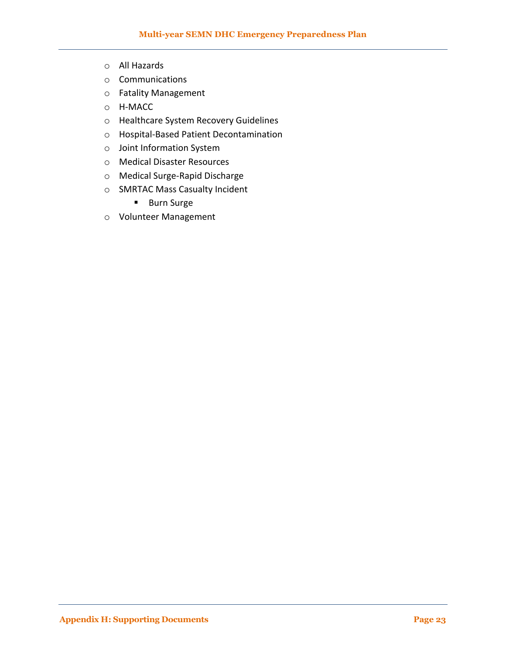- o All Hazards
- o Communications
- o Fatality Management
- o H-MACC
- o Healthcare System Recovery Guidelines
- o Hospital-Based Patient Decontamination
- o Joint Information System
- o Medical Disaster Resources
- o Medical Surge-Rapid Discharge
- o SMRTAC Mass Casualty Incident
	- **Burn Surge**
- o Volunteer Management